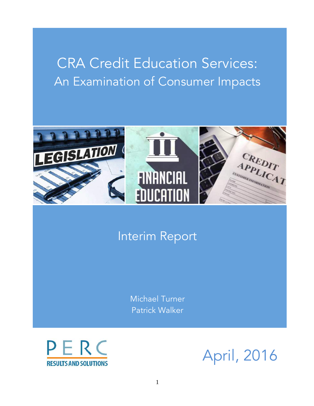# CRA Credit Education Services: An Examination of Consumer Impacts



## Interim Report

Michael Turner Patrick Walker



April, 2016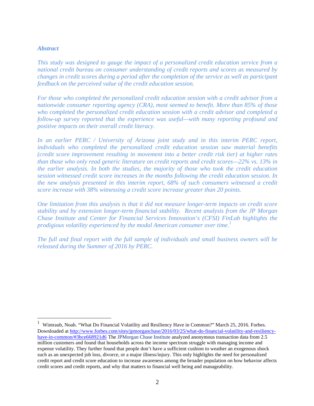#### *Abstract*

*This study was designed to gauge the impact of a personalized credit education service from a national credit bureau on consumer understanding of credit reports and scores as measured by changes in credit scores during a period after the completion of the service as well as participant feedback on the perceived value of the credit education session.* 

*For those who completed the personalized credit education session with a credit advisor from a nationwide consumer reporting agency (CRA), most seemed to benefit. More than 85% of those who completed the personalized credit education session with a credit advisor and completed a follow-up survey reported that the experience was useful—with many reporting profound and positive impacts on their overall credit literacy.* 

*In an earlier PERC / University of Arizona joint study and in this interim PERC report, individuals who completed the personalized credit education session saw material benefits (credit score improvement resulting in movement into a better credit risk tier) at higher rates than those who only read generic literature on credit reports and credit scores—22% vs. 13% in the earlier analysis. In both the studies, the majority of those who took the credit education session witnessed credit score increases in the months following the credit education session. In the new analysis presented in this interim report, 68% of such consumers witnessed a credit score increase with 38% witnessing a credit score increase greater than 20 points.* 

*One limitation from this analysis is that it did not measure longer-term impacts on credit score stability and by extension longer-term financial stability. Recent analysis from the JP Morgan Chase Institute and Center for Financial Services Innovation's (CFSI) FinLab highlights the prodigious volatility experienced by the modal American consumer over time.<sup>1</sup>*

*The full and final report with the full sample of individuals and small business owners will be released during the Summer of 2016 by PERC.*

 $\frac{1}{1}$  Wintraub, Noah. "What Do Financial Volatility and Resiliency Have in Common?" March 25, 2016. Forbes. Downloaded at http://www.forbes.com/sites/jpmorganchase/2016/03/25/what-do-financial-volatility-and-resiliencyhave-in-common/#3bce668921d6 The JPMorgan Chase Institute analyzed anonymous transaction data from 2.5 million customers and found that households across the income spectrum struggle with managing income and expense volatility. They further found that people don't have a sufficient cushion to weather an exogenous shock such as an unexpected job loss, divorce, or a major illness/injury. This only highlights the need for personalized credit report and credit score education to increase awareness among the broader population on how behavior affects credit scores and credit reports, and why that matters to financial well being and manageability.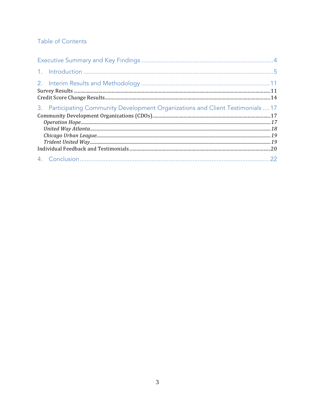## Table of Contents

| 3. Participating Community Development Organizations and Client Testimonials  17 |  |
|----------------------------------------------------------------------------------|--|
|                                                                                  |  |
|                                                                                  |  |
|                                                                                  |  |
|                                                                                  |  |
|                                                                                  |  |
|                                                                                  |  |
|                                                                                  |  |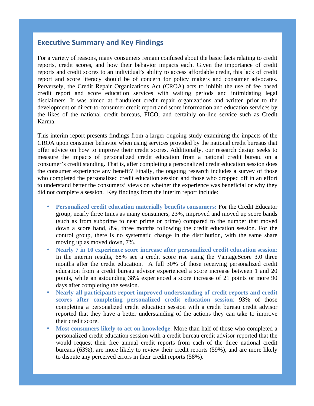### <span id="page-3-0"></span>**Executive Summary and Key Findings**

For a variety of reasons, many consumers remain confused about the basic facts relating to credit reports, credit scores, and how their behavior impacts each. Given the importance of credit reports and credit scores to an individual's ability to access affordable credit, this lack of credit report and score literacy should be of concern for policy makers and consumer advocates. Perversely, the Credit Repair Organizations Act (CROA) acts to inhibit the use of fee based credit report and score education services with waiting periods and intimidating legal disclaimers. It was aimed at fraudulent credit repair organizations and written prior to the development of direct-to-consumer credit report and score information and education services by the likes of the national credit bureaus, FICO, and certainly on-line service such as Credit Karma.

This interim report presents findings from a larger ongoing study examining the impacts of the CROA upon consumer behavior when using services provided by the national credit bureaus that offer advice on how to improve their credit scores. Additionally, our research design seeks to measure the impacts of personalized credit education from a national credit bureau on a consumer's credit standing. That is, after completing a personalized credit education session does the consumer experience any benefit? Finally, the ongoing research includes a survey of those who completed the personalized credit education session and those who dropped off in an effort to understand better the consumers' views on whether the experience was beneficial or why they did not complete a session. Key findings from the interim report include:

- **Personalized credit education materially benefits consumers:** For the Credit Educator group, nearly three times as many consumers, 23%, improved and moved up score bands (such as from subprime to near prime or prime) compared to the number that moved down a score band, 8%, three months following the credit education session. For the control group, there is no systematic change in the distribution, with the same share moving up as moved down, 7%.
- **Nearly 7 in 10 experience score increase after personalized credit education session**: In the interim results, 68% see a credit score rise using the VantageScore 3.0 three months after the credit education. A full 30% of those receiving personalized credit education from a credit bureau advisor experienced a score increase between 1 and 20 points, while an astounding 38% experienced a score increase of 21 points or more 90 days after completing the session.
- **Nearly all participants report improved understanding of credit reports and credit scores after completing personalized credit education session**: 93% of those completing a personalized credit education session with a credit bureau credit advisor reported that they have a better understanding of the actions they can take to improve their credit score.
- **Most consumers likely to act on knowledge**: More than half of those who completed a personalized credit education session with a credit bureau credit advisor reported that the would request their free annual credit reports from each of the three national credit bureaus (63%), are more likely to review their credit reports (59%), and are more likely to dispute any perceived errors in their credit reports (58%).

<span id="page-3-1"></span>4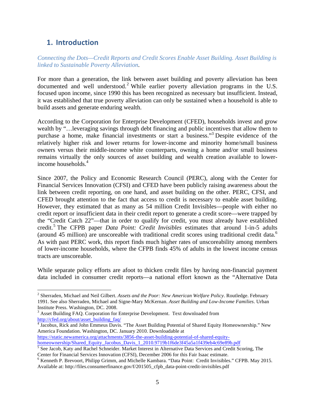## **1. Introduction**

*Connecting the Dots—Credit Reports and Credit Scores Enable Asset Building. Asset Building is linked to Sustainable Poverty Alleviation.*

For more than a generation, the link between asset building and poverty alleviation has been documented and well understood.<sup>2</sup> While earlier poverty alleviation programs in the U.S. focused upon income, since 1990 this has been recognized as necessary but insufficient. Instead, it was established that true poverty alleviation can only be sustained when a household is able to build assets and generate enduring wealth.

According to the Corporation for Enterprise Development (CFED), households invest and grow wealth by "…leveraging savings through debt financing and public incentives that allow them to purchase a home, make financial investments or start a business."<sup>3</sup> Despite evidence of the relatively higher risk and lower returns for lower-income and minority home/small business owners versus their middle-income white counterparts, owning a home and/or small business remains virtually the only sources of asset building and wealth creation available to lowerincome households.<sup>4</sup>

Since 2007, the Policy and Economic Research Council (PERC), along with the Center for Financial Services Innovation (CFSI) and CFED have been publicly raising awareness about the link between credit reporting, on one hand, and asset building on the other. PERC, CFSI, and CFED brought attention to the fact that access to credit is necessary to enable asset building. However, they estimated that as many as 54 million Credit Invisibles—people with either no credit report or insufficient data in their credit report to generate a credit score—were trapped by the "Credit Catch 22"—that in order to qualify for credit, you must already have established credit.<sup>5</sup> The CFPB paper *Data Point: Credit Invisibles* estimates that around 1-in-5 adults (around 45 million) are unscoreable with traditional credit scores using traditional credit data.<sup>6</sup> As with past PERC work, this report finds much higher rates of unscoreability among members of lower-income households, where the CFPB finds 45% of adults in the lowest income census tracts are unscoreable.

While separate policy efforts are afoot to thicken credit files by having non-financial payment data included in consumer credit reports—a national effort known as the "Alternative Data

https://static.newamerica.org/attachments/3856-the-asset-building-potential-of-shared-equity-

 <sup>2</sup> Sherraden, Michael and Neil Gilbert. *Assets and the Poor: New American Welfare Policy*. Routledge. February 1991. See also Sherraden, Michael and Signe-Mary McKernan. *Asset Building and Low-Income Families*. Urban

 $3$  Asset Building FAQ. Corporation for Enterprise Development. Text downloaded from http://cfed.org/about/asset\_building\_faq/

<sup>&</sup>lt;sup>4</sup> Jacobus, Rick and John Emmeus Davis. "The Asset Building Potential of Shared Equity Homeownership." New America Foundation. Washington, DC. January 2010. Downloadable at

homeownership/Shared\_Equity\_Jacobus\_Davis\_1\_2010.9719b1f6de3f45a5a1f439eb4c69e89b.pdf<br><sup>5</sup> See Jacob, Katy and Rachel Schneider. Market Interest in Alternative Data Services and Credit Scoring, The Center for Financial Services Innovation (CFSI), December 2006 for this Fair Isaac estimate.<br><sup>6</sup> Kenneth P. Brevoort, Philipp Grimm, and Michelle Kambara. "Data Point: Credit Invisibles." CFPB. May 2015.

Available at: http://files.consumerfinance.gov/f/201505\_cfpb\_data-point-credit-invisibles.pdf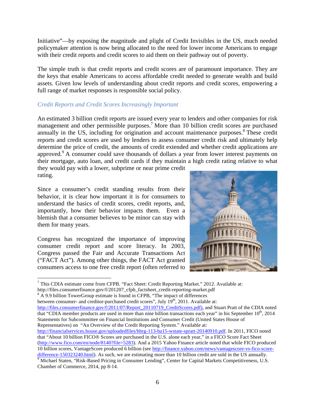Initiative"—by exposing the magnitude and plight of Credit Invisibles in the US, much needed policymaker attention is now being allocated to the need for lower income Americans to engage with their credit reports and credit scores to aid them on their pathway out of poverty.

The simple truth is that credit reports and credit scores are of paramount importance. They are the keys that enable Americans to access affordable credit needed to generate wealth and build assets. Given low levels of understanding about credit reports and credit scores, empowering a full range of market responses is responsible social policy.

#### *Credit Reports and Credit Scores Increasingly Important*

An estimated 3 billion credit reports are issued every year to lenders and other companies for risk management and other permissible purposes.<sup>7</sup> More than 10 billion credit scores are purchased annually in the US, including for origination and account maintenance purposes.<sup>8</sup> These credit reports and credit scores are used by lenders to assess consumer credit risk and ultimately help determine the price of credit, the amounts of credit extended and whether credit applications are approved.<sup>9</sup> A consumer could save thousands of dollars a year from lower interest payments on their mortgage, auto loan, and credit cards if they maintain a high credit rating relative to what they would pay with a lower, subprime or near prime credit

rating.

Since a consumer's credit standing results from their behavior, it is clear how important it is for consumers to understand the basics of credit scores, credit reports, and, importantly, how their behavior impacts them. Even a blemish that a consumer believes to be minor can stay with them for many years.

Congress has recognized the importance of improving consumer credit report and score literacy. In 2003, Congress passed the Fair and Accurate Transactions Act ("FACT Act"). Among other things, the FACT Act granted consumers access to one free credit report (often referred to



 $<sup>7</sup>$  This CDIA estimate come from CFPB. "Fact Sheet: Credit Reporting Market." 2012. Available at:</sup>

http://files.consumerfinance.gov/f/201207\_cfpb\_factsheet\_credit-reporting-market.pdf <sup>8</sup> A 9.9 billion TowerGroup estimate is found in CFPB, "The impact of differences

between consumer- and creditor-purchased credit scores", July  $19<sup>th</sup>$ , 2011. Available at:

http://files.consumerfinance.gov/f/2011/07/Report\_20110719\_CreditScores.pdf), and Stuart Pratt of the CDIA noted that "CDIA member products are used in more than nine billion transactions each year" in his September  $10^{th}$ , 2014 Statements for Subcommittee on Financial Institutions and Consumer Credit (United States House of Representatives) on "An Overview of the Credit Reporting System." Available at:

http://financialservices.house.gov/uploadedfiles/hhrg-113-ba15-wstate-spratt-20140910.pdf. In 2011, FICO noted that "About 10 billion FICO® Scores are purchased in the U.S. alone each year," in a FICO Score Fact Sheet (http://www.fico.com/en/node/8140?file=5283). And a 2015 Yahoo Finance article noted that while FICO produced 10 billion scores, VantageScore produced 6 billion (see http://finance.yahoo.com/news/vantagescore-vs-fico-score-

 $\frac{\text{difference-150323240.html}}{\text{Michael Staten}}$ . As such, we are estimating more than 10 billion credit are sold in the US annually. Chamber of Commerce, 2014, pp 8-14.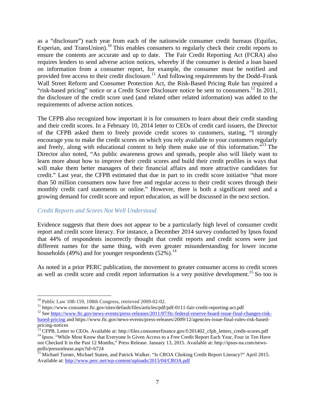as a "disclosure") each year from each of the nationwide consumer credit bureaus (Equifax, Experian, and TransUnion).<sup>10</sup> This enables consumers to regularly check their credit reports to ensure the contents are accurate and up to date. The Fair Credit Reporting Act (FCRA) also requires lenders to send adverse action notices, whereby if the consumer is denied a loan based on information from a consumer report, for example, the consumer must be notified and provided free access to their credit disclosure.<sup>11</sup> And following requirements by the Dodd–Frank Wall Street Reform and Consumer Protection Act, the Risk-Based Pricing Rule has required a "risk-based pricing" notice or a Credit Score Disclosure notice be sent to consumers.<sup>12</sup> In 2011, the disclosure of the credit score used (and related other related information) was added to the requirements of adverse action notices.

The CFPB also recognized how important it is for consumers to learn about their credit standing and their credit scores. In a February 10, 2014 letter to CEOs of credit card issuers, the Director of the CFPB asked them to freely provide credit scores to customers, stating, "I strongly encourage you to make the credit scores on which you rely available to your customers regularly and freely, along with educational content to help them make use of this information.<sup>"13</sup> The Director also noted, "As public awareness grows and spreads, people also will likely want to learn more about how to improve their credit scores and build their credit profiles in ways that will make them better managers of their financial affairs and more attractive candidates for credit." Last year, the CFPB estimated that due in part to its credit score initiative "that more than 50 million consumers now have free and regular access to their credit scores through their monthly credit card statements or online." However, there is both a significant need and a growing demand for credit score and report education, as will be discussed in the next section.

#### *Credit Reports and Scores Not Well Understood*

Evidence suggests that there does not appear to be a particularly high level of consumer credit report and credit score literacy. For instance, a December 2014 survey conducted by Ipsos found that 44% of respondents incorrectly thought that credit reports and credit scores were just different names for the same thing, with even greater misunderstanding for lower income households (49%) and for younger respondents  $(52\%)$ .<sup>14</sup>

As noted in a prior PERC publication, the movement to greater consumer access to credit scores as well as credit score and credit report information is a very positive development.<sup>15</sup> So too is

<sup>&</sup>lt;sup>10</sup> Public Law 108-159, 108th Congress, retrieved 2009-02-02.<br><sup>11</sup> https://www.consumer.ftc.gov/sites/default/files/articles/pdf/pdf-0111-fair-credit-reporting-act.pdf<br><sup>12</sup> See https://www.ftc.gov/news-events/press-relea

based-pricing and https://www.ftc.gov/news-events/press-releases/2009/12/agencies-issue-final-rules-risk-based-

<sup>&</sup>lt;sup>13</sup> CFPB. Letter to CEOs. Available at: http://files.consumerfinance.gov/f/201402\_cfpb\_letters\_credit-scores.pdf<br><sup>14</sup> Ipsos. "While Most Know that Everyone Is Given Access to a Free Credit Report Each Year, Four in Ten Ha

not Checked It in the Past 12 Months," Press Release. January 13, 2015. Available at: http://ipsos-na.com/newspolls/pressrelease.aspx?id=6724

<sup>&</sup>lt;sup>15</sup> Michael Turner, Michael Staten, and Patrick Walker. "Is CROA Choking Credit Report Literacy?" April 2015. Available at: http://www.perc.net/wp-content/uploads/2015/04/CROA.pdf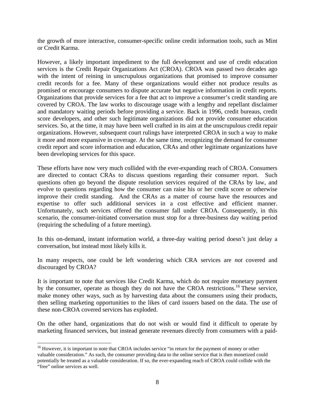the growth of more interactive, consumer-specific online credit information tools, such as Mint or Credit Karma.

However, a likely important impediment to the full development and use of credit education services is the Credit Repair Organizations Act (CROA). CROA was passed two decades ago with the intent of reining in unscrupulous organizations that promised to improve consumer credit records for a fee. Many of these organizations would either not produce results as promised or encourage consumers to dispute accurate but negative information in credit reports. Organizations that provide services for a fee that act to improve a consumer's credit standing are covered by CROA. The law works to discourage usage with a lengthy and repellant disclaimer and mandatory waiting periods before providing a service. Back in 1996, credit bureaus, credit score developers, and other such legitimate organizations did not provide consumer education services. So, at the time, it may have been well crafted in its aim at the unscrupulous credit repair organizations. However, subsequent court rulings have interpreted CROA in such a way to make it more and more expansive in coverage. At the same time, recognizing the demand for consumer credit report and score information and education, CRAs and other legitimate organizations have been developing services for this space.

These efforts have now very much collided with the ever-expanding reach of CROA. Consumers are directed to contact CRAs to discuss questions regarding their consumer report. Such questions often go beyond the dispute resolution services required of the CRAs by law, and evolve to questions regarding how the consumer can raise his or her credit score or otherwise improve their credit standing. And the CRAs as a matter of course have the resources and expertise to offer such additional services in a cost effective and efficient manner. Unfortunately, such services offered the consumer fall under CROA. Consequently, in this scenario, the consumer-initiated conversation must stop for a three-business day waiting period (requiring the scheduling of a future meeting).

In this on-demand, instant information world, a three-day waiting period doesn't just delay a conversation, but instead most likely kills it.

In many respects, one could be left wondering which CRA services are *not* covered and discouraged by CROA?

It is important to note that services like Credit Karma, which do not require monetary payment by the consumer, operate as though they do not have the CROA restrictions.<sup>16</sup> These service, make money other ways, such as by harvesting data about the consumers using their products, then selling marketing opportunities to the likes of card issuers based on the data. The use of these non-CROA covered services has exploded.

On the other hand, organizations that do not wish or would find it difficult to operate by marketing financed services, but instead generate revenues directly from consumers with a paid-

<sup>&</sup>lt;sup>16</sup> However, it is important to note that CROA includes service "in return for the payment of money or other valuable consideration." As such, the consumer providing data to the online service that is then monetized could potentially be treated as a valuable consideration. If so, the ever-expanding reach of CROA could collide with the "free" online services as well.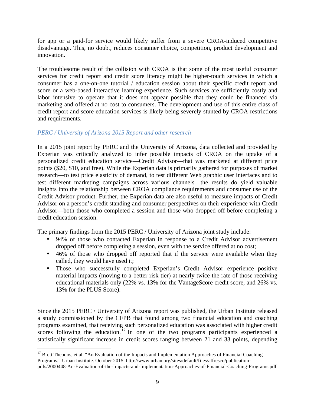for app or a paid-for service would likely suffer from a severe CROA-induced competitive disadvantage. This, no doubt, reduces consumer choice, competition, product development and innovation.

The troublesome result of the collision with CROA is that some of the most useful consumer services for credit report and credit score literacy might be higher-touch services in which a consumer has a one-on-one tutorial / education session about their specific credit report and score or a web-based interactive learning experience. Such services are sufficiently costly and labor intensive to operate that it does not appear possible that they could be financed via marketing and offered at no cost to consumers. The development and use of this entire class of credit report and score education services is likely being severely stunted by CROA restrictions and requirements.

#### *PERC / University of Arizona 2015 Report and other research*

In a 2015 joint report by PERC and the University of Arizona, data collected and provided by Experian was critically analyzed to infer possible impacts of CROA on the uptake of a personalized credit education service—Credit Advisor—that was marketed at different price points (\$20, \$10, and free). While the Experian data is primarily gathered for purposes of market research—to test price elasticity of demand, to test different Web graphic user interfaces and to test different marketing campaigns across various channels—the results do yield valuable insights into the relationship between CROA compliance requirements and consumer use of the Credit Advisor product. Further, the Experian data are also useful to measure impacts of Credit Advisor on a person's credit standing and consumer perspectives on their experience with Credit Advisor—both those who completed a session and those who dropped off before completing a credit education session.

The primary findings from the 2015 PERC / University of Arizona joint study include:

- 94% of those who contacted Experian in response to a Credit Advisor advertisement dropped off before completing a session, even with the service offered at no cost;
- 46% of those who dropped off reported that if the service were available when they called, they would have used it;
- Those who successfully completed Experian's Credit Advisor experience positive material impacts (moving to a better risk tier) at nearly twice the rate of those receiving educational materials only (22% vs. 13% for the VantageScore credit score, and 26% vs. 13% for the PLUS Score).

Since the 2015 PERC / University of Arizona report was published, the Urban Institute released a study commissioned by the CFPB that found among two financial education and coaching programs examined, that receiving such personalized education was associated with higher credit scores following the education.<sup>17</sup> In one of the two programs participants experienced a statistically significant increase in credit scores ranging between 21 and 33 points, depending

<sup>&</sup>lt;sup>17</sup> Brett Theodos, et al. "An Evaluation of the Impacts and Implementation Approaches of Financial Coaching Programs." Urban Institute. October 2015. http://www.urban.org/sites/default/files/alfresco/publicationpdfs/2000448-An-Evaluation-of-the-Impacts-and-Implementation-Approaches-of-Financial-Coaching-Programs.pdf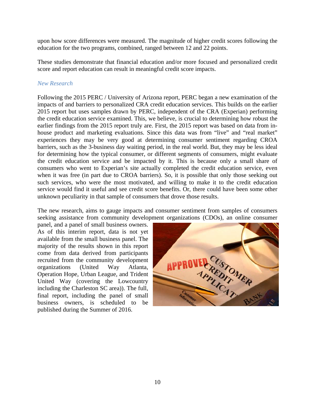upon how score differences were measured. The magnitude of higher credit scores following the education for the two programs, combined, ranged between 12 and 22 points.

These studies demonstrate that financial education and/or more focused and personalized credit score and report education can result in meaningful credit score impacts.

#### *New Research*

Following the 2015 PERC / University of Arizona report, PERC began a new examination of the impacts of and barriers to personalized CRA credit education services. This builds on the earlier 2015 report but uses samples drawn by PERC, independent of the CRA (Experian) performing the credit education service examined. This, we believe, is crucial to determining how robust the earlier findings from the 2015 report truly are. First, the 2015 report was based on data from inhouse product and marketing evaluations. Since this data was from "live" and "real market" experiences they may be very good at determining consumer sentiment regarding CROA barriers, such as the 3-business day waiting period, in the real world. But, they may be less ideal for determining how the typical consumer, or different segments of consumers, might evaluate the credit education service and be impacted by it. This is because only a small share of consumers who went to Experian's site actually completed the credit education service, even when it was free (in part due to CROA barriers). So, it is possible that only those seeking out such services, who were the most motivated, and willing to make it to the credit education service would find it useful and see credit score benefits. Or, there could have been some other unknown peculiarity in that sample of consumers that drove those results.

The new research, aims to gauge impacts and consumer sentiment from samples of consumers seeking assistance from community development organizations (CDOs), an online consumer

panel, and a panel of small business owners. As of this interim report, data is not yet available from the small business panel. The majority of the results shown in this report come from data derived from participants recruited from the community development organizations (United Way Atlanta, Operation Hope, Urban League, and Trident United Way (covering the Lowcountry including the Charleston SC area)). The full, final report, including the panel of small business owners, is scheduled to be published during the Summer of 2016.

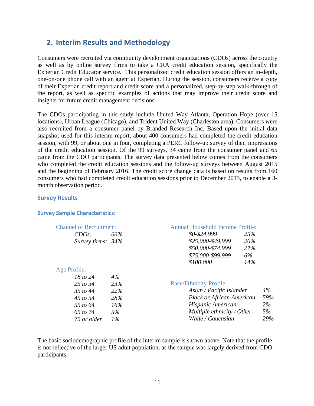## <span id="page-10-0"></span>**2. Interim Results and Methodology**

Consumers were recruited via community development organizations (CDOs) across the country as well as by online survey firms to take a CRA credit education session, specifically the Experian Credit Educator service. This personalized credit education session offers an in-depth, one-on-one phone call with an agent at Experian. During the session, consumers receive a copy of their Experian credit report and credit score and a personalized, step-by-step walk-through of the report, as well as specific examples of actions that may improve their credit score and insights for future credit management decisions.

The CDOs participating in this study include United Way Atlanta, Operation Hope (over 15 locations), Urban League (Chicago), and Trident United Way (Charleston area). Consumers were also recruited from a consumer panel by Branded Research Inc. Based upon the initial data snapshot used for this interim report, about 400 consumers had completed the credit education session, with 99, or about one in four, completing a PERC follow-up survey of their impressions of the credit education session. Of the 99 surveys, 34 came from the consumer panel and 65 came from the CDO participants. The survey data presented below comes from the consumers who completed the credit education sessions and the follow-up surveys between August 2015 and the beginning of February 2016. The credit score change data is based on results from 160 consumers who had completed credit education sessions prior to December 2015, to enable a 3 month observation period.

#### <span id="page-10-1"></span>**Survey Results**

#### **Survey Sample Characteristics:**

| <b>Channel of Recruitment:</b> |       | <b>Annual Household Income Profile:</b> |       |
|--------------------------------|-------|-----------------------------------------|-------|
| $CDOs$ :                       | 66%   | \$0-\$24,999<br>25%                     |       |
| Survey firms: $34%$            |       | \$25,000-\$49,999<br>26%                |       |
|                                |       | \$50,000-\$74,999<br>27%                |       |
|                                |       | \$75,000-\$99,999<br>6%                 |       |
|                                |       | 14%<br>$$100,000+$                      |       |
| Age Profile:                   |       |                                         |       |
| 18 to 24                       | 4%    |                                         |       |
| 25 to 34                       | 23%   | <b>Race/Ethnicity Profile:</b>          |       |
| 35 to 44                       | 22%   | Asian / Pacific Islander                | $4\%$ |
| 45 to 54                       | 28%   | <b>Black or African American</b>        | 59%   |
| 55 to 64                       | 16%   | Hispanic American                       | $2\%$ |
| 65 to 74                       | 5%    | Multiple ethnicity / Other              | 5%    |
| 75 or older                    | $1\%$ | White / Caucasian                       | 29%   |

The basic sociodemographic profile of the interim sample is shown above. Note that the profile is not reflective of the larger US adult population, as the sample was largely derived from CDO participants.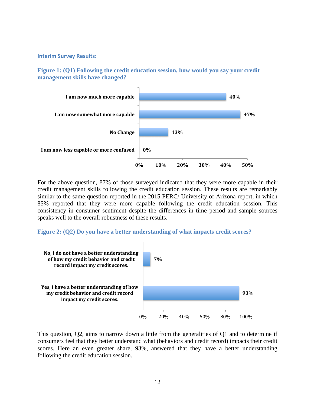#### **Interim Survey Results:**





For the above question, 87% of those surveyed indicated that they were more capable in their credit management skills following the credit education session. These results are remarkably similar to the same question reported in the 2015 PERC/ University of Arizona report, in which 85% reported that they were more capable following the credit education session. This consistency in consumer sentiment despite the differences in time period and sample sources speaks well to the overall robustness of these results.

#### **Figure 2: (Q2) Do you have a better understanding of what impacts credit scores?**



This question, Q2, aims to narrow down a little from the generalities of Q1 and to determine if consumers feel that they better understand what (behaviors and credit record) impacts their credit scores. Here an even greater share, 93%, answered that they have a better understanding following the credit education session.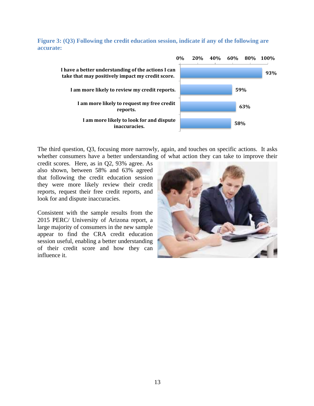

**Figure 3: (Q3) Following the credit education session, indicate if any of the following are accurate:**

The third question, Q3, focusing more narrowly, again, and touches on specific actions. It asks whether consumers have a better understanding of what action they can take to improve their

credit scores. Here, as in Q2, 93% agree. As also shown, between 58% and 63% agreed that following the credit education session they were more likely review their credit reports, request their free credit reports, and look for and dispute inaccuracies.

Consistent with the sample results from the 2015 PERC/ University of Arizona report, a large majority of consumers in the new sample appear to find the CRA credit education session useful, enabling a better understanding of their credit score and how they can influence it.

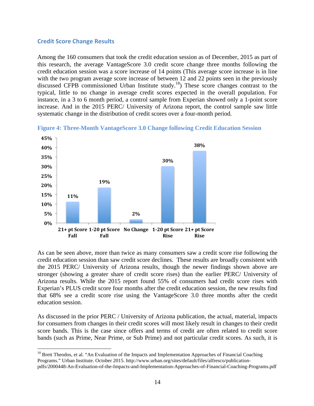#### <span id="page-13-0"></span>**Credit Score Change Results**

Among the 160 consumers that took the credit education session as of December, 2015 as part of this research, the average VantageScore 3.0 credit score change three months following the credit education session was a score increase of 14 points (This average score increase is in line with the two program average score increase of between 12 and 22 points seen in the previously discussed CFPB commissioned Urban Institute study.18) These score changes contrast to the typical, little to no change in average credit scores expected in the overall population. For instance, in a 3 to 6 month period, a control sample from Experian showed only a 1-point score increase. And in the 2015 PERC/ University of Arizona report, the control sample saw little systematic change in the distribution of credit scores over a four-month period.



**Figure 4: Three-Month VantageScore 3.0 Change following Credit Education Session**

As can be seen above, more than twice as many consumers saw a credit score rise following the credit education session than saw credit score declines. These results are broadly consistent with the 2015 PERC/ University of Arizona results, though the newer findings shown above are stronger (showing a greater share of credit score rises) than the earlier PERC/ University of Arizona results. While the 2015 report found 55% of consumers had credit score rises with Experian's PLUS credit score four months after the credit education session, the new results find that 68% see a credit score rise using the VantageScore 3.0 three months after the credit education session.

As discussed in the prior PERC / University of Arizona publication, the actual, material, impacts for consumers from changes in their credit scores will most likely result in changes to their credit score bands. This is the case since offers and terms of credit are often related to credit score bands (such as Prime, Near Prime, or Sub Prime) and not particular credit scores. As such, it is

<sup>&</sup>lt;sup>18</sup> Brett Theodos, et al. "An Evaluation of the Impacts and Implementation Approaches of Financial Coaching Programs." Urban Institute. October 2015. http://www.urban.org/sites/default/files/alfresco/publicationpdfs/2000448-An-Evaluation-of-the-Impacts-and-Implementation-Approaches-of-Financial-Coaching-Programs.pdf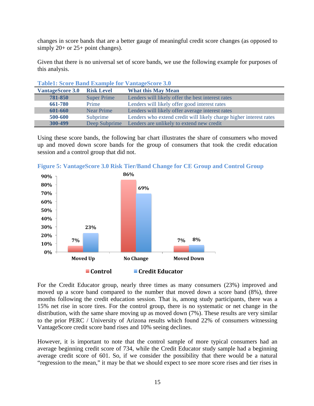changes in score bands that are a better gauge of meaningful credit score changes (as opposed to simply 20+ or 25+ point changes).

Given that there is no universal set of score bands, we use the following example for purposes of this analysis.

| Table1, bette Dand Example for Vaniagebette J.V |                    |                                                                    |  |  |  |
|-------------------------------------------------|--------------------|--------------------------------------------------------------------|--|--|--|
| <b>VantageScore 3.0</b>                         | <b>Risk Level</b>  | <b>What this May Mean</b>                                          |  |  |  |
| 781-850                                         | <b>Super Prime</b> | Lenders will likely offer the best interest rates                  |  |  |  |
| 661-780                                         | Prime              | Lenders will likely offer good interest rates                      |  |  |  |
| 601-660                                         | <b>Near Prime</b>  | Lenders will likely offer average interest rates                   |  |  |  |
| 500-600                                         | Subprime           | Lenders who extend credit will likely charge higher interest rates |  |  |  |
| 300-499                                         | Deep Subprime      | Lenders are unlikely to extend new credit                          |  |  |  |

**Table1: Score Band Example for VantageScore 3.0**

Using these score bands, the following bar chart illustrates the share of consumers who moved up and moved down score bands for the group of consumers that took the credit education session and a control group that did not.



**Figure 5: VantageScore 3.0 Risk Tier/Band Change for CE Group and Control Group**

For the Credit Educator group, nearly three times as many consumers (23%) improved and moved up a score band compared to the number that moved down a score band (8%), three months following the credit education session. That is, among study participants, there was a 15% net rise in score tires. For the control group, there is no systematic or net change in the distribution, with the same share moving up as moved down (7%). These results are very similar to the prior PERC / University of Arizona results which found 22% of consumers witnessing VantageScore credit score band rises and 10% seeing declines.

However, it is important to note that the control sample of more typical consumers had an average beginning credit score of 734, while the Credit Educator study sample had a beginning average credit score of 601. So, if we consider the possibility that there would be a natural "regression to the mean," it may be that we should expect to see more score rises and tier rises in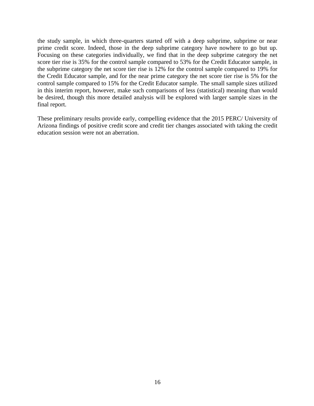the study sample, in which three-quarters started off with a deep subprime, subprime or near prime credit score. Indeed, those in the deep subprime category have nowhere to go but up. Focusing on these categories individually, we find that in the deep subprime category the net score tier rise is 35% for the control sample compared to 53% for the Credit Educator sample, in the subprime category the net score tier rise is 12% for the control sample compared to 19% for the Credit Educator sample, and for the near prime category the net score tier rise is 5% for the control sample compared to 15% for the Credit Educator sample. The small sample sizes utilized in this interim report, however, make such comparisons of less (statistical) meaning than would be desired, though this more detailed analysis will be explored with larger sample sizes in the final report.

These preliminary results provide early, compelling evidence that the 2015 PERC/ University of Arizona findings of positive credit score and credit tier changes associated with taking the credit education session were not an aberration.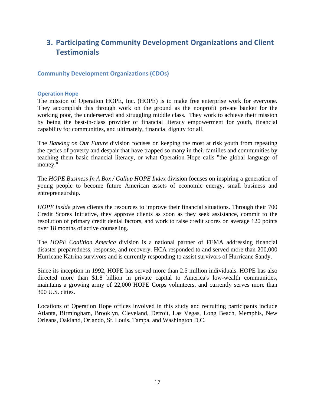## <span id="page-16-0"></span>**3. Participating Community Development Organizations and Client Testimonials**

#### <span id="page-16-1"></span>**Community Development Organizations (CDOs)**

#### <span id="page-16-2"></span>**Operation Hope**

The mission of Operation HOPE, Inc. (HOPE) is to make free enterprise work for everyone. They accomplish this through work on the ground as the nonprofit private banker for the working poor, the underserved and struggling middle class. They work to achieve their mission by being the best-in-class provider of financial literacy empowerment for youth, financial capability for communities, and ultimately, financial dignity for all.

The *Banking on Our Future* division focuses on keeping the most at risk youth from repeating the cycles of poverty and despair that have trapped so many in their families and communities by teaching them basic financial literacy, or what Operation Hope calls "the global language of money."

The *HOPE Business In A Box / Gallup HOPE Index* division focuses on inspiring a generation of young people to become future American assets of economic energy, small business and entrepreneurship.

*HOPE Inside* gives clients the resources to improve their financial situations. Through their 700 Credit Scores Initiative, they approve clients as soon as they seek assistance, commit to the resolution of primary credit denial factors, and work to raise credit scores on average 120 points over 18 months of active counseling.

The *HOPE Coalition America* division is a national partner of FEMA addressing financial disaster preparedness, response, and recovery. HCA responded to and served more than 200,000 Hurricane Katrina survivors and is currently responding to assist survivors of Hurricane Sandy.

Since its inception in 1992, HOPE has served more than 2.5 million individuals. HOPE has also directed more than \$1.8 billion in private capital to America's low-wealth communities, maintains a growing army of 22,000 HOPE Corps volunteers, and currently serves more than 300 U.S. cities.

Locations of Operation Hope offices involved in this study and recruiting participants include Atlanta, Birmingham, Brooklyn, Cleveland, Detroit, Las Vegas, Long Beach, Memphis, New Orleans, Oakland, Orlando, St. Louis, Tampa, and Washington D.C.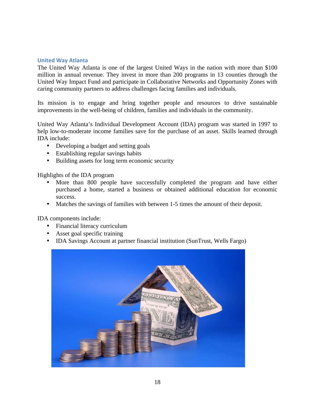#### <span id="page-17-0"></span>**United Way Atlanta**

The United Way Atlanta is one of the largest United Ways in the nation with more than \$100 million in annual revenue. They invest in more than 200 programs in 13 counties through the United Way Impact Fund and participate in Collaborative Networks and Opportunity Zones with caring community partners to address challenges facing families and individuals.

Its mission is to engage and bring together people and resources to drive sustainable improvements in the well-being of children, families and individuals in the community.

United Way Atlanta's Individual Development Account (IDA) program was started in 1997 to help low-to-moderate income families save for the purchase of an asset. Skills learned through IDA include:

- Developing a budget and setting goals
- Establishing regular savings habits
- Building assets for long term economic security

Highlights of the IDA program

- More than 800 people have successfully completed the program and have either purchased a home, started a business or obtained additional education for economic success.
- Matches the savings of families with between 1-5 times the amount of their deposit.

IDA components include:

- Financial literacy curriculum
- Asset goal specific training
- IDA Savings Account at partner financial institution (SunTrust, Wells Fargo)

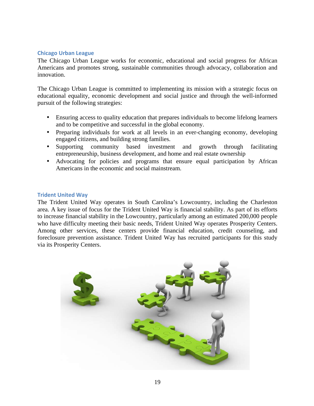#### <span id="page-18-0"></span>**Chicago Urban League**

The Chicago Urban League works for economic, educational and social progress for African Americans and promotes strong, sustainable communities through advocacy, collaboration and innovation.

The Chicago Urban League is committed to implementing its mission with a strategic focus on educational equality, economic development and social justice and through the well-informed pursuit of the following strategies:

- Ensuring access to quality education that prepares individuals to become lifelong learners and to be competitive and successful in the global economy.
- Preparing individuals for work at all levels in an ever-changing economy, developing engaged citizens, and building strong families.
- Supporting community based investment and growth through facilitating entrepreneurship, business development, and home and real estate ownership
- Advocating for policies and programs that ensure equal participation by African Americans in the economic and social mainstream.

#### <span id="page-18-1"></span>**Trident United Way**

The Trident United Way operates in South Carolina's Lowcountry, including the Charleston area. A key issue of focus for the Trident United Way is financial stability. As part of its efforts to increase financial stability in the Lowcountry, particularly among an estimated 200,000 people who have difficulty meeting their basic needs, Trident United Way operates Prosperity Centers. Among other services, these centers provide financial education, credit counseling, and foreclosure prevention assistance. Trident United Way has recruited participants for this study via its Prosperity Centers.

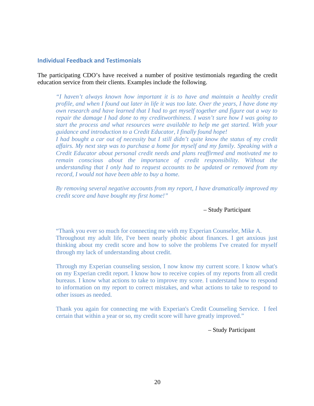#### <span id="page-19-0"></span>**Individual Feedback and Testimonials**

The participating CDO's have received a number of positive testimonials regarding the credit education service from their clients. Examples include the following.

*"I haven't always known how important it is to have and maintain a healthy credit profile, and when I found out later in life it was too late. Over the years, I have done my own research and have learned that I had to get myself together and figure out a way to repair the damage I had done to my creditworthiness. I wasn't sure how I was going to start the process and what resources were available to help me get started. With your guidance and introduction to a Credit Educator, I finally found hope!* 

*I had bought a car out of necessity but I still didn't quite know the status of my credit affairs. My next step was to purchase a home for myself and my family. Speaking with a Credit Educator about personal credit needs and plans reaffirmed and motivated me to remain conscious about the importance of credit responsibility. Without the understanding that I only had to request accounts to be updated or removed from my record, I would not have been able to buy a home.*

*By removing several negative accounts from my report, I have dramatically improved my credit score and have bought my first home!"*

#### – Study Participant

"Thank you ever so much for connecting me with my Experian Counselor, Mike A. Throughout my adult life, I've been nearly phobic about finances. I get anxious just thinking about my credit score and how to solve the problems I've created for myself through my lack of understanding about credit.

Through my Experian counseling session, I now know my current score. I know what's on my Experian credit report. I know how to receive copies of my reports from all credit bureaus. I know what actions to take to improve my score. I understand how to respond to information on my report to correct mistakes, and what actions to take to respond to other issues as needed.

Thank you again for connecting me with Experian's Credit Counseling Service. I feel certain that within a year or so, my credit score will have greatly improved."

– Study Participant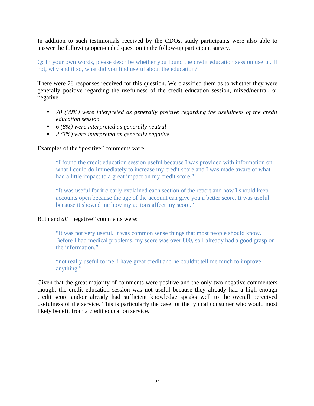In addition to such testimonials received by the CDOs, study participants were also able to answer the following open-ended question in the follow-up participant survey.

#### Q: In your own words, please describe whether you found the credit education session useful. If not, why and if so, what did you find useful about the education?

There were 78 responses received for this question. We classified them as to whether they were generally positive regarding the usefulness of the credit education session, mixed/neutral, or negative.

- *70 (90%) were interpreted as generally positive regarding the usefulness of the credit education session*
- *6 (8%) were interpreted as generally neutral*
- *2 (3%) were interpreted as generally negative*

#### Examples of the "positive" comments were:

"I found the credit education session useful because I was provided with information on what I could do immediately to increase my credit score and I was made aware of what had a little impact to a great impact on my credit score."

"It was useful for it clearly explained each section of the report and how I should keep accounts open because the age of the account can give you a better score. It was useful because it showed me how my actions affect my score."

#### Both and *all* "negative" comments were:

"It was not very useful. It was common sense things that most people should know. Before I had medical problems, my score was over 800, so I already had a good grasp on the information."

"not really useful to me, i have great credit and he couldnt tell me much to improve anything."

Given that the great majority of comments were positive and the only two negative commenters thought the credit education session was not useful because they already had a high enough credit score and/or already had sufficient knowledge speaks well to the overall perceived usefulness of the service. This is particularly the case for the typical consumer who would most likely benefit from a credit education service.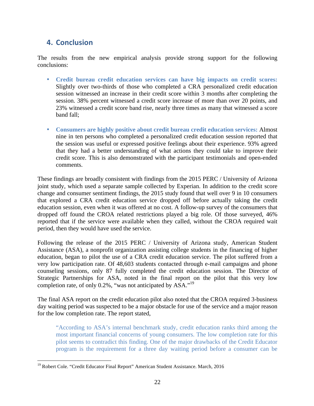## <span id="page-21-0"></span>**4. Conclusion**

The results from the new empirical analysis provide strong support for the following conclusions:

- **Credit bureau credit education services can have big impacts on credit scores:** Slightly over two-thirds of those who completed a CRA personalized credit education session witnessed an increase in their credit score within 3 months after completing the session. 38% percent witnessed a credit score increase of more than over 20 points, and 23% witnessed a credit score band rise, nearly three times as many that witnessed a score band fall;
- **Consumers are highly positive about credit bureau credit education services:** Almost nine in ten persons who completed a personalized credit education session reported that the session was useful or expressed positive feelings about their experience. 93% agreed that they had a better understanding of what actions they could take to improve their credit score. This is also demonstrated with the participant testimonials and open-ended comments.

These findings are broadly consistent with findings from the 2015 PERC / University of Arizona joint study, which used a separate sample collected by Experian. In addition to the credit score change and consumer sentiment findings, the 2015 study found that well over 9 in 10 consumers that explored a CRA credit education service dropped off before actually taking the credit education session, even when it was offered at no cost. A follow-up survey of the consumers that dropped off found the CROA related restrictions played a big role. Of those surveyed, 46% reported that if the service were available when they called, without the CROA required wait period, then they would have used the service.

Following the release of the 2015 PERC / University of Arizona study, American Student Assistance (ASA), a nonprofit organization assisting college students in the financing of higher education, began to pilot the use of a CRA credit education service. The pilot suffered from a very low participation rate. Of 48,603 students contacted through e-mail campaigns and phone counseling sessions, only 87 fully completed the credit education session. The Director of Strategic Partnerships for ASA, noted in the final report on the pilot that this very low completion rate, of only 0.2%, "was not anticipated by ASA."<sup>19</sup>

The final ASA report on the credit education pilot also noted that the CROA required 3-business day waiting period was suspected to be a major obstacle for use of the service and a major reason for the low completion rate. The report stated,

"According to ASA's internal benchmark study, credit education ranks third among the most important financial concerns of young consumers. The low completion rate for this pilot seems to contradict this finding. One of the major drawbacks of the Credit Educator program is the requirement for a three day waiting period before a consumer can be

<sup>&</sup>lt;sup>19</sup> Robert Cole. "Credit Educator Final Report" American Student Assistance. March, 2016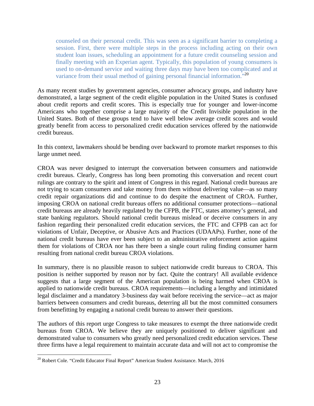counseled on their personal credit. This was seen as a significant barrier to completing a session. First, there were multiple steps in the process including acting on their own student loan issues, scheduling an appointment for a future credit counseling session and finally meeting with an Experian agent. Typically, this population of young consumers is used to on-demand service and waiting three days may have been too complicated and at variance from their usual method of gaining personal financial information.<sup>520</sup>

As many recent studies by government agencies, consumer advocacy groups, and industry have demonstrated, a large segment of the credit eligible population in the United States is confused about credit reports and credit scores. This is especially true for younger and lower-income Americans who together comprise a large majority of the Credit Invisible population in the United States. Both of these groups tend to have well below average credit scores and would greatly benefit from access to personalized credit education services offered by the nationwide credit bureaus.

In this context, lawmakers should be bending over backward to promote market responses to this large unmet need.

CROA was never designed to interrupt the conversation between consumers and nationwide credit bureaus. Clearly, Congress has long been promoting this conversation and recent court rulings are contrary to the spirit and intent of Congress in this regard. National credit bureaus are not trying to scam consumers and take money from them without delivering value—as so many credit repair organizations did and continue to do despite the enactment of CROA. Further, imposing CROA on national credit bureaus offers no additional consumer protections—national credit bureaus are already heavily regulated by the CFPB, the FTC, states attorney's general, and state banking regulators. Should national credit bureaus mislead or deceive consumers in any fashion regarding their personalized credit education services, the FTC and CFPB can act for violations of Unfair, Deceptive, or Abusive Acts and Practices (UDAAPs). Further, none of the national credit bureaus have ever been subject to an administrative enforcement action against them for violations of CROA nor has there been a single court ruling finding consumer harm resulting from national credit bureau CROA violations.

In summary, there is no plausible reason to subject nationwide credit bureaus to CROA. This position is neither supported by reason nor by fact. Quite the contrary! All available evidence suggests that a large segment of the American population is being harmed when CROA is applied to nationwide credit bureaus. CROA requirements—including a lengthy and intimidated legal disclaimer and a mandatory 3-business day wait before receiving the service—act as major barriers between consumers and credit bureaus, deterring all but the most committed consumers from benefitting by engaging a national credit bureau to answer their questions.

The authors of this report urge Congress to take measures to exempt the three nationwide credit bureaus from CROA. We believe they are uniquely positioned to deliver significant and demonstrated value to consumers who greatly need personalized credit education services. These three firms have a legal requirement to maintain accurate data and will not act to compromise the

<sup>&</sup>lt;sup>20</sup> Robert Cole. "Credit Educator Final Report" American Student Assistance. March, 2016